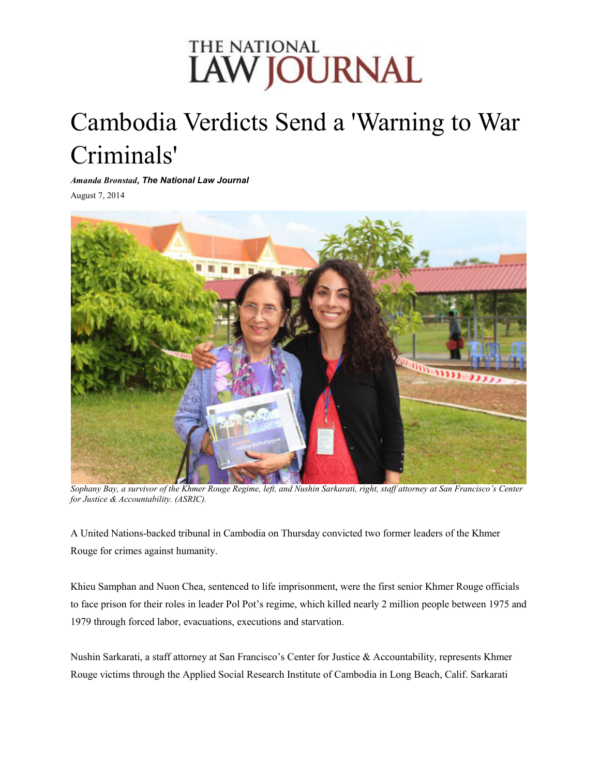## THE NATIONAL **LAW JOURNAL**

## Cambodia Verdicts Send a 'Warning to War Criminals'

*Amanda Bronstad, The National Law Journal*

August 7, 2014



*Sophany Bay, a survivor of the Khmer Rouge Regime, left, and Nushin Sarkarati, right, staff attorney at San Francisco's Center for Justice & Accountability. (ASRIC).*

A United Nations-backed tribunal in Cambodia on Thursday convicted two former leaders of the Khmer Rouge for crimes against humanity.

Khieu Samphan and Nuon Chea, sentenced to life imprisonment, were the first senior Khmer Rouge officials to face prison for their roles in leader Pol Pot's regime, which killed nearly 2 million people between 1975 and 1979 through forced labor, evacuations, executions and starvation.

Nushin Sarkarati, a staff attorney at San Francisco's Center for Justice & Accountability, represents Khmer Rouge victims through the Applied Social Research Institute of Cambodia in Long Beach, Calif. Sarkarati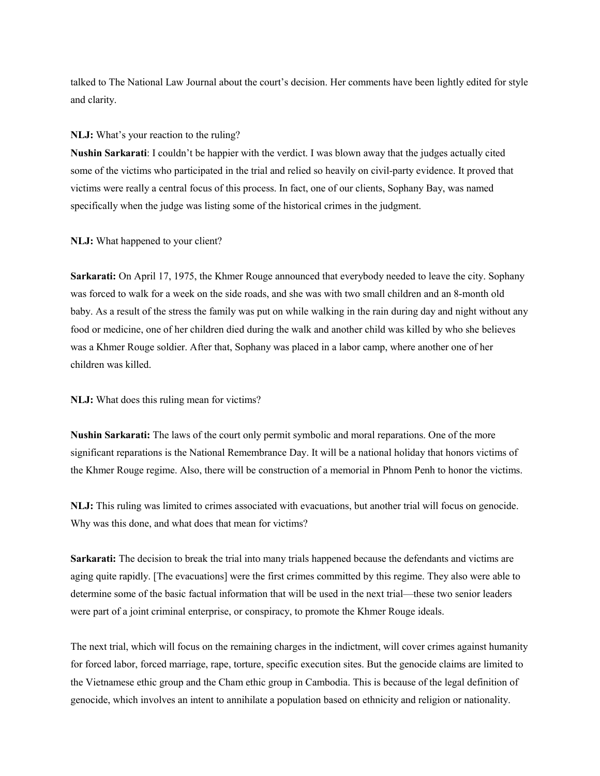talked to The National Law Journal about the court's decision. Her comments have been lightly edited for style and clarity.

## **NLJ:** What's your reaction to the ruling?

**Nushin Sarkarati**: I couldn't be happier with the verdict. I was blown away that the judges actually cited some of the victims who participated in the trial and relied so heavily on civil-party evidence. It proved that victims were really a central focus of this process. In fact, one of our clients, Sophany Bay, was named specifically when the judge was listing some of the historical crimes in the judgment.

**NLJ:** What happened to your client?

**Sarkarati:** On April 17, 1975, the Khmer Rouge announced that everybody needed to leave the city. Sophany was forced to walk for a week on the side roads, and she was with two small children and an 8-month old baby. As a result of the stress the family was put on while walking in the rain during day and night without any food or medicine, one of her children died during the walk and another child was killed by who she believes was a Khmer Rouge soldier. After that, Sophany was placed in a labor camp, where another one of her children was killed.

**NLJ:** What does this ruling mean for victims?

**Nushin Sarkarati:** The laws of the court only permit symbolic and moral reparations. One of the more significant reparations is the National Remembrance Day. It will be a national holiday that honors victims of the Khmer Rouge regime. Also, there will be construction of a memorial in Phnom Penh to honor the victims.

**NLJ:** This ruling was limited to crimes associated with evacuations, but another trial will focus on genocide. Why was this done, and what does that mean for victims?

**Sarkarati:** The decision to break the trial into many trials happened because the defendants and victims are aging quite rapidly. [The evacuations] were the first crimes committed by this regime. They also were able to determine some of the basic factual information that will be used in the next trial—these two senior leaders were part of a joint criminal enterprise, or conspiracy, to promote the Khmer Rouge ideals.

The next trial, which will focus on the remaining charges in the indictment, will cover crimes against humanity for forced labor, forced marriage, rape, torture, specific execution sites. But the genocide claims are limited to the Vietnamese ethic group and the Cham ethic group in Cambodia. This is because of the legal definition of genocide, which involves an intent to annihilate a population based on ethnicity and religion or nationality.